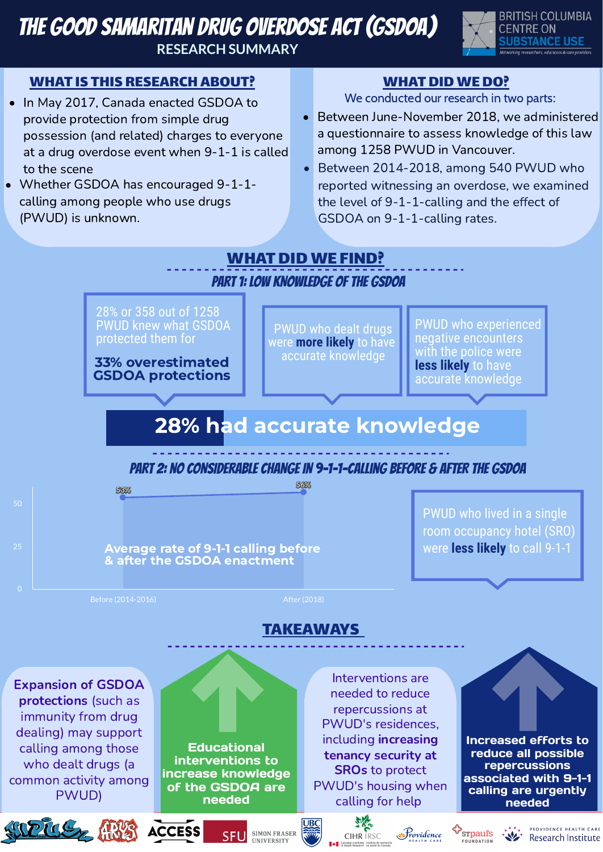# The Good Samaritan Drug Overdose Act (GSDOA) **RESEARCH SUMMARY**



### WHAT IS THIS RESEARCH ABOUT?

28% or 358 out of 1258 PWUD knew what GSDOA protected them for

28% had accurate knowledge

33% overestimated GSDOA protections

PWUD who dealt drugs were **more likely** to have accurate knowledge

Average rate of 9-1-1 calling before **were less likely** to call 9-1-1 & after the GSDOA enactment

Before (2014-2016) and the contract of the contract of the After (2018)

PWUD who experienced negative encounters with the police were **less likely** to have accurate knowledge

53%

56%

0

25

50



PWUD who lived in a single room occupancy hotel (SRO)

PART 1: LOW KNOWLEDGE OF THE GSDOA

#### PART 2: NO CONSIDERABLE CHANGE IN 9-1-1-calling BEFORE & AFTER THE GSDOA

Increased efforts to reduce all possible repercussions associated with 9-1-1 calling are urgently needed

PROVIDENCE HEA

Research Institute



Expansion of GSDOA protections (such as immunity from drug dealing) may support calling among those who dealt drugs (a common activity among PWUD)

**Educational** interventions to increase knowledge of the GSDOA are needed

SFL

**SIMON FRASER** 

**INIVERSITY** 

- In May 2017, Canada enacted GSDOA to provide protection from simple drug possession (and related) charges to everyone at a drug overdose event when 9-1-1 is called to the scene
- Whether GSDOA has encouraged 9-1-1calling among people who use drugs (PWUD) is unknown.

### WHAT DID WE DO?

- Between June-November 2018, we administered a questionnaire to assess knowledge of this law among 1258 PWUD in Vancouver.
- Between 2014-2018, among 540 PWUD who reported witnessing an overdose, we examined the level of 9-1-1-calling and the effect of GSDOA on 9-1-1-calling rates.

## WHAT DID WE FIND?

We conducted our research in two parts:

Interventions are needed to reduce repercussions at PWUD's residences, including increasing tenancy security at SROs to protect PWUD's housing when calling for help

rovidence

**FOUNDATION** 

好好

#### TAKEAWAYS